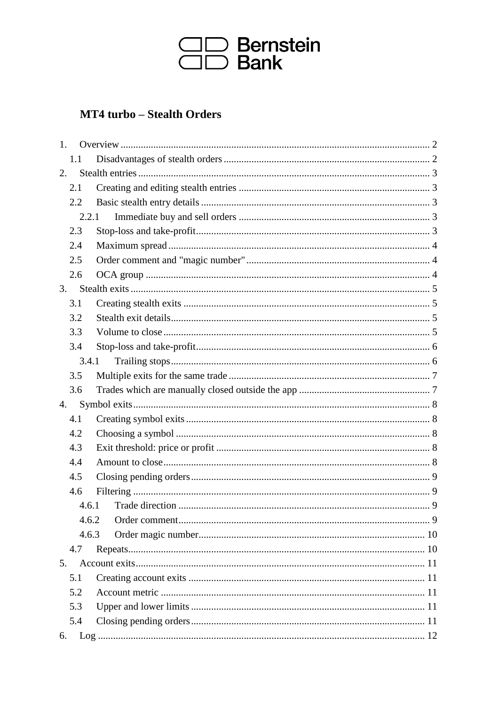

# **MT4 turbo - Stealth Orders**

| 1. |       |  |  |
|----|-------|--|--|
|    | 1.1   |  |  |
| 2. |       |  |  |
|    | 2.1   |  |  |
|    | 2.2   |  |  |
|    | 2.2.1 |  |  |
|    | 2.3   |  |  |
|    | 2.4   |  |  |
|    | 2.5   |  |  |
|    | 2.6   |  |  |
| 3. |       |  |  |
|    | 3.1   |  |  |
|    | 3.2   |  |  |
|    | 3.3   |  |  |
|    | 3.4   |  |  |
|    | 3.4.1 |  |  |
|    | 3.5   |  |  |
|    | 3.6   |  |  |
| 4. |       |  |  |
|    | 4.1   |  |  |
|    | 4.2   |  |  |
|    | 4.3   |  |  |
|    | 4.4   |  |  |
|    | 4.5   |  |  |
|    | 4.6   |  |  |
|    | 4.6.1 |  |  |
|    | 4.6.2 |  |  |
|    | 4.6.3 |  |  |
|    | 4.7   |  |  |
| 5. |       |  |  |
|    | 5.1   |  |  |
|    | 5.2   |  |  |
|    | 5.3   |  |  |
|    | 5.4   |  |  |
| 6. |       |  |  |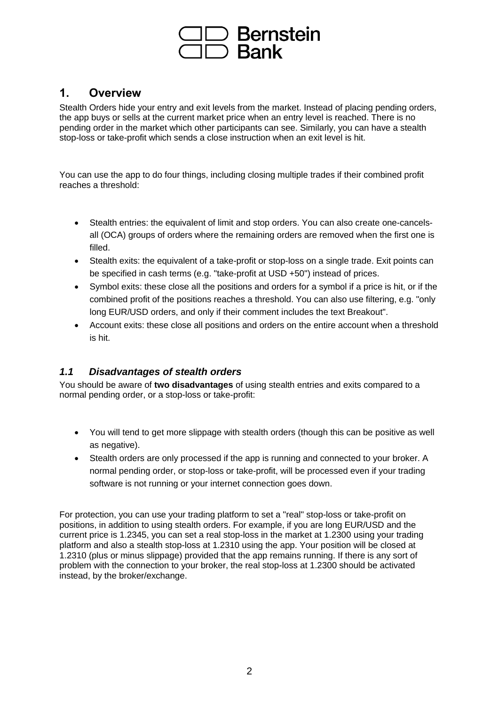

# **1. Overview**

Stealth Orders hide your entry and exit levels from the market. Instead of placing pending orders, the app buys or sells at the current market price when an entry level is reached. There is no pending order in the market which other participants can see. Similarly, you can have a stealth stop-loss or take-profit which sends a close instruction when an exit level is hit.

You can use the app to do four things, including closing multiple trades if their combined profit reaches a threshold:

- Stealth entries: the equivalent of limit and stop orders. You can also create one-cancelsall (OCA) groups of orders where the remaining orders are removed when the first one is filled.
- Stealth exits: the equivalent of a take-profit or stop-loss on a single trade. Exit points can be specified in cash terms (e.g. "take-profit at USD +50") instead of prices.
- Symbol exits: these close all the positions and orders for a symbol if a price is hit, or if the combined profit of the positions reaches a threshold. You can also use filtering, e.g. "only long EUR/USD orders, and only if their comment includes the text Breakout".
- Account exits: these close all positions and orders on the entire account when a threshold is hit.

#### *1.1 Disadvantages of stealth orders*

You should be aware of **two disadvantages** of using stealth entries and exits compared to a normal pending order, or a stop-loss or take-profit:

- You will tend to get more slippage with stealth orders (though this can be positive as well as negative).
- Stealth orders are only processed if the app is running and connected to your broker. A normal pending order, or stop-loss or take-profit, will be processed even if your trading software is not running or your internet connection goes down.

For protection, you can use your trading platform to set a "real" stop-loss or take-profit on positions, in addition to using stealth orders. For example, if you are long EUR/USD and the current price is 1.2345, you can set a real stop-loss in the market at 1.2300 using your trading platform and also a stealth stop-loss at 1.2310 using the app. Your position will be closed at 1.2310 (plus or minus slippage) provided that the app remains running. If there is any sort of problem with the connection to your broker, the real stop-loss at 1.2300 should be activated instead, by the broker/exchange.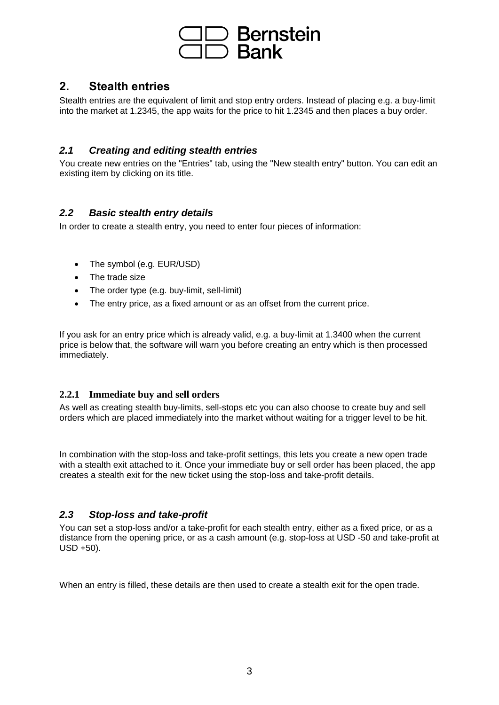

# **2. Stealth entries**

Stealth entries are the equivalent of limit and stop entry orders. Instead of placing e.g. a buy-limit into the market at 1.2345, the app waits for the price to hit 1.2345 and then places a buy order.

#### *2.1 Creating and editing stealth entries*

You create new entries on the "Entries" tab, using the "New stealth entry" button. You can edit an existing item by clicking on its title.

## *2.2 Basic stealth entry details*

In order to create a stealth entry, you need to enter four pieces of information:

- The symbol (e.g. EUR/USD)
- The trade size
- The order type (e.g. buy-limit, sell-limit)
- The entry price, as a fixed amount or as an offset from the current price.

If you ask for an entry price which is already valid, e.g. a buy-limit at 1.3400 when the current price is below that, the software will warn you before creating an entry which is then processed immediately.

#### **2.2.1 Immediate buy and sell orders**

As well as creating stealth buy-limits, sell-stops etc you can also choose to create buy and sell orders which are placed immediately into the market without waiting for a trigger level to be hit.

In combination with the stop-loss and take-profit settings, this lets you create a new open trade with a stealth exit attached to it. Once your immediate buy or sell order has been placed, the app creates a stealth exit for the new ticket using the stop-loss and take-profit details.

#### *2.3 Stop-loss and take-profit*

You can set a stop-loss and/or a take-profit for each stealth entry, either as a fixed price, or as a distance from the opening price, or as a cash amount (e.g. stop-loss at USD -50 and take-profit at USD +50).

When an entry is filled, these details are then used to create a stealth exit for the open trade.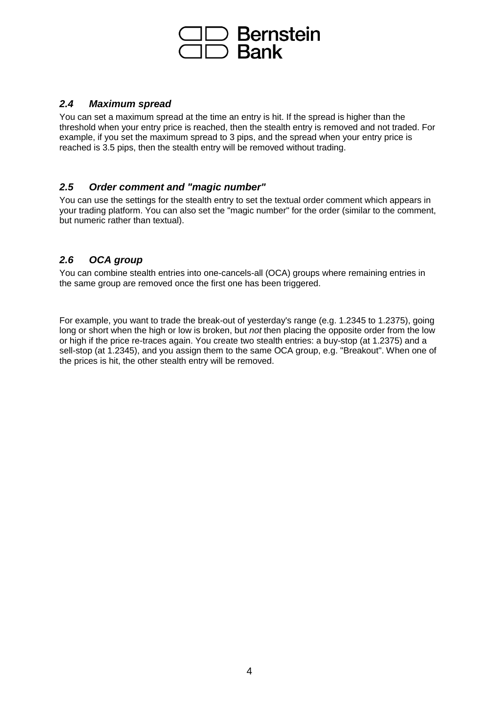

#### *2.4 Maximum spread*

You can set a maximum spread at the time an entry is hit. If the spread is higher than the threshold when your entry price is reached, then the stealth entry is removed and not traded. For example, if you set the maximum spread to 3 pips, and the spread when your entry price is reached is 3.5 pips, then the stealth entry will be removed without trading.

#### *2.5 Order comment and "magic number"*

You can use the settings for the stealth entry to set the textual order comment which appears in your trading platform. You can also set the "magic number" for the order (similar to the comment, but numeric rather than textual).

## *2.6 OCA group*

You can combine stealth entries into one-cancels-all (OCA) groups where remaining entries in the same group are removed once the first one has been triggered.

For example, you want to trade the break-out of yesterday's range (e.g. 1.2345 to 1.2375), going long or short when the high or low is broken, but *not* then placing the opposite order from the low or high if the price re-traces again. You create two stealth entries: a buy-stop (at 1.2375) and a sell-stop (at 1.2345), and you assign them to the same OCA group, e.g. "Breakout". When one of the prices is hit, the other stealth entry will be removed.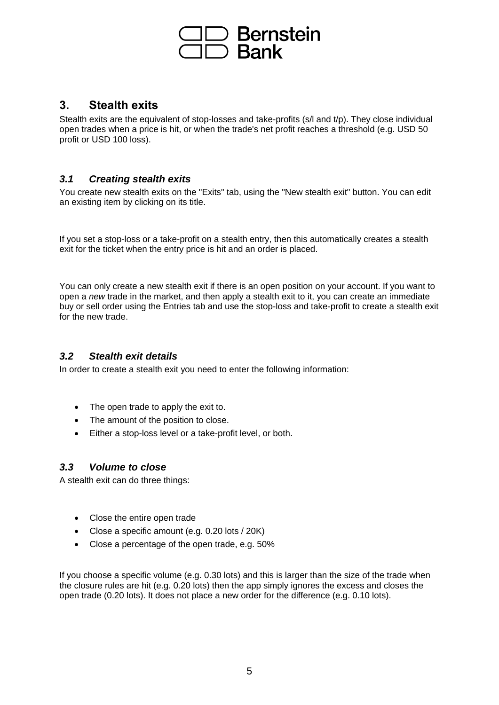

# **3. Stealth exits**

Stealth exits are the equivalent of stop-losses and take-profits (s/l and t/p). They close individual open trades when a price is hit, or when the trade's net profit reaches a threshold (e.g. USD 50 profit or USD 100 loss).

## *3.1 Creating stealth exits*

You create new stealth exits on the "Exits" tab, using the "New stealth exit" button. You can edit an existing item by clicking on its title.

If you set a stop-loss or a take-profit on a stealth entry, then this automatically creates a stealth exit for the ticket when the entry price is hit and an order is placed.

You can only create a new stealth exit if there is an open position on your account. If you want to open a *new* trade in the market, and then apply a stealth exit to it, you can create an immediate buy or sell order using the Entries tab and use the stop-loss and take-profit to create a stealth exit for the new trade.

## *3.2 Stealth exit details*

In order to create a stealth exit you need to enter the following information:

- The open trade to apply the exit to.
- The amount of the position to close.
- Either a stop-loss level or a take-profit level, or both.

#### *3.3 Volume to close*

A stealth exit can do three things:

- Close the entire open trade
- Close a specific amount (e.g. 0.20 lots / 20K)
- Close a percentage of the open trade, e.g. 50%

If you choose a specific volume (e.g. 0.30 lots) and this is larger than the size of the trade when the closure rules are hit (e.g. 0.20 lots) then the app simply ignores the excess and closes the open trade (0.20 lots). It does not place a new order for the difference (e.g. 0.10 lots).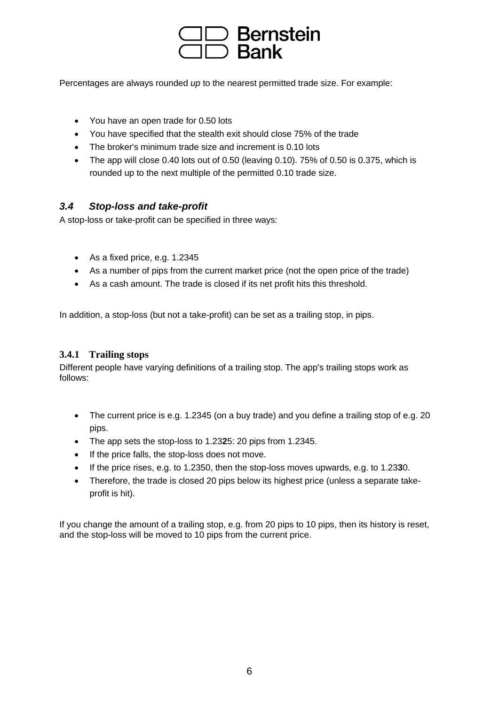

Percentages are always rounded *up* to the nearest permitted trade size. For example:

- You have an open trade for 0.50 lots
- You have specified that the stealth exit should close 75% of the trade
- The broker's minimum trade size and increment is 0.10 lots
- The app will close 0.40 lots out of 0.50 (leaving 0.10). 75% of 0.50 is 0.375, which is rounded up to the next multiple of the permitted 0.10 trade size.

#### *3.4 Stop-loss and take-profit*

A stop-loss or take-profit can be specified in three ways:

- As a fixed price, e.g. 1.2345
- As a number of pips from the current market price (not the open price of the trade)
- As a cash amount. The trade is closed if its net profit hits this threshold.

In addition, a stop-loss (but not a take-profit) can be set as a trailing stop, in pips.

#### **3.4.1 Trailing stops**

Different people have varying definitions of a trailing stop. The app's trailing stops work as follows:

- The current price is e.g. 1.2345 (on a buy trade) and you define a trailing stop of e.g. 20 pips.
- The app sets the stop-loss to 1.23**2**5: 20 pips from 1.2345.
- If the price falls, the stop-loss does not move.
- If the price rises, e.g. to 1.2350, then the stop-loss moves upwards, e.g. to 1.23**3**0.
- Therefore, the trade is closed 20 pips below its highest price (unless a separate takeprofit is hit).

If you change the amount of a trailing stop, e.g. from 20 pips to 10 pips, then its history is reset, and the stop-loss will be moved to 10 pips from the current price.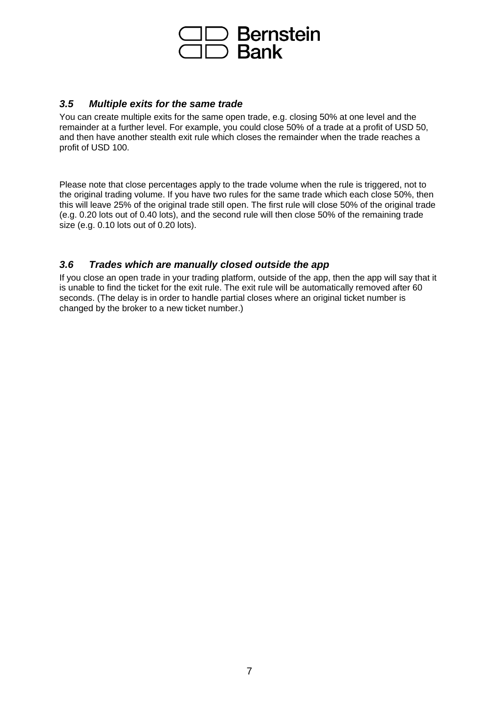

#### *3.5 Multiple exits for the same trade*

You can create multiple exits for the same open trade, e.g. closing 50% at one level and the remainder at a further level. For example, you could close 50% of a trade at a profit of USD 50, and then have another stealth exit rule which closes the remainder when the trade reaches a profit of USD 100.

Please note that close percentages apply to the trade volume when the rule is triggered, not to the original trading volume. If you have two rules for the same trade which each close 50%, then this will leave 25% of the original trade still open. The first rule will close 50% of the original trade (e.g. 0.20 lots out of 0.40 lots), and the second rule will then close 50% of the remaining trade size (e.g. 0.10 lots out of 0.20 lots).

#### *3.6 Trades which are manually closed outside the app*

If you close an open trade in your trading platform, outside of the app, then the app will say that it is unable to find the ticket for the exit rule. The exit rule will be automatically removed after 60 seconds. (The delay is in order to handle partial closes where an original ticket number is changed by the broker to a new ticket number.)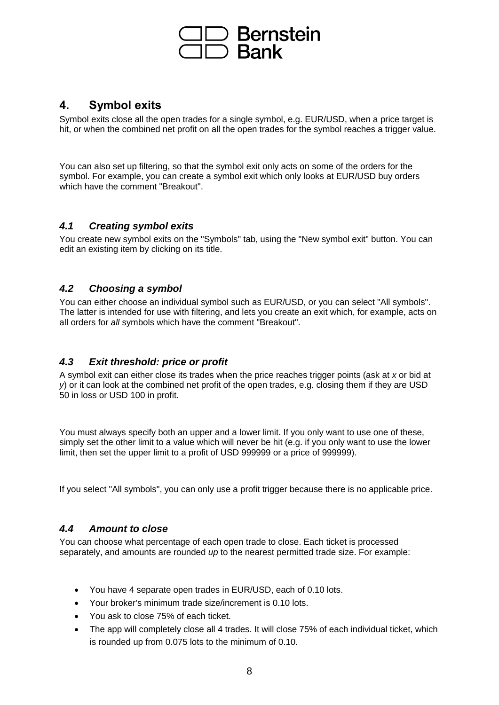

# **4. Symbol exits**

Symbol exits close all the open trades for a single symbol, e.g. EUR/USD, when a price target is hit, or when the combined net profit on all the open trades for the symbol reaches a trigger value.

You can also set up filtering, so that the symbol exit only acts on some of the orders for the symbol. For example, you can create a symbol exit which only looks at EUR/USD buy orders which have the comment "Breakout".

## *4.1 Creating symbol exits*

You create new symbol exits on the "Symbols" tab, using the "New symbol exit" button. You can edit an existing item by clicking on its title.

## *4.2 Choosing a symbol*

You can either choose an individual symbol such as EUR/USD, or you can select "All symbols". The latter is intended for use with filtering, and lets you create an exit which, for example, acts on all orders for *all* symbols which have the comment "Breakout".

## *4.3 Exit threshold: price or profit*

A symbol exit can either close its trades when the price reaches trigger points (ask at *x* or bid at *y*) or it can look at the combined net profit of the open trades, e.g. closing them if they are USD 50 in loss or USD 100 in profit.

You must always specify both an upper and a lower limit. If you only want to use one of these, simply set the other limit to a value which will never be hit (e.g. if you only want to use the lower limit, then set the upper limit to a profit of USD 999999 or a price of 999999).

If you select "All symbols", you can only use a profit trigger because there is no applicable price.

#### *4.4 Amount to close*

You can choose what percentage of each open trade to close. Each ticket is processed separately, and amounts are rounded *up* to the nearest permitted trade size. For example:

- You have 4 separate open trades in EUR/USD, each of 0.10 lots.
- Your broker's minimum trade size/increment is 0.10 lots.
- You ask to close 75% of each ticket.
- The app will completely close all 4 trades. It will close 75% of each individual ticket, which is rounded up from 0.075 lots to the minimum of 0.10.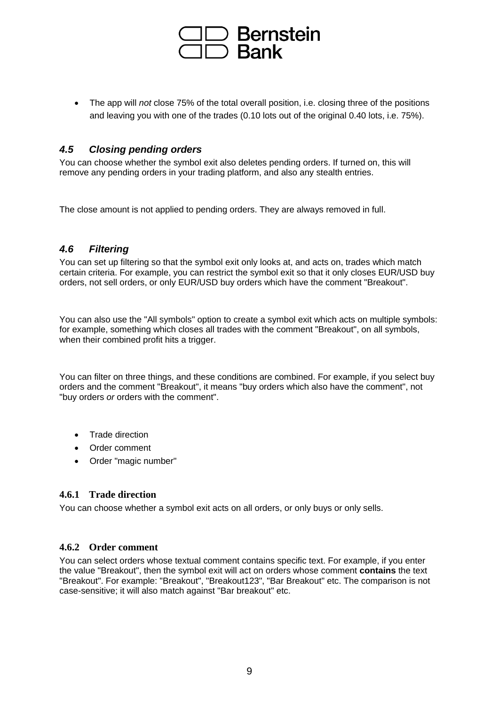

• The app will *not* close 75% of the total overall position, i.e. closing three of the positions and leaving you with one of the trades (0.10 lots out of the original 0.40 lots, i.e. 75%).

#### *4.5 Closing pending orders*

You can choose whether the symbol exit also deletes pending orders. If turned on, this will remove any pending orders in your trading platform, and also any stealth entries.

The close amount is not applied to pending orders. They are always removed in full.

## *4.6 Filtering*

You can set up filtering so that the symbol exit only looks at, and acts on, trades which match certain criteria. For example, you can restrict the symbol exit so that it only closes EUR/USD buy orders, not sell orders, or only EUR/USD buy orders which have the comment "Breakout".

You can also use the "All symbols" option to create a symbol exit which acts on multiple symbols: for example, something which closes all trades with the comment "Breakout", on all symbols, when their combined profit hits a trigger.

You can filter on three things, and these conditions are combined. For example, if you select buy orders and the comment "Breakout", it means "buy orders which also have the comment", not "buy orders *or* orders with the comment".

- Trade direction
- Order comment
- Order "magic number"

#### **4.6.1 Trade direction**

You can choose whether a symbol exit acts on all orders, or only buys or only sells.

#### **4.6.2 Order comment**

You can select orders whose textual comment contains specific text. For example, if you enter the value "Breakout", then the symbol exit will act on orders whose comment **contains** the text "Breakout". For example: "Breakout", "Breakout123", "Bar Breakout" etc. The comparison is not case-sensitive; it will also match against "Bar breakout" etc.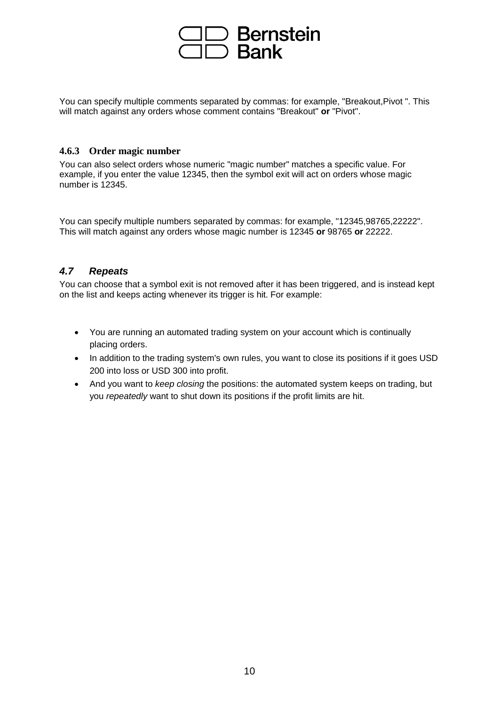

You can specify multiple comments separated by commas: for example, "Breakout,Pivot ". This will match against any orders whose comment contains "Breakout" **or** "Pivot".

#### **4.6.3 Order magic number**

You can also select orders whose numeric "magic number" matches a specific value. For example, if you enter the value 12345, then the symbol exit will act on orders whose magic number is 12345.

You can specify multiple numbers separated by commas: for example, "12345,98765,22222". This will match against any orders whose magic number is 12345 **or** 98765 **or** 22222.

## *4.7 Repeats*

You can choose that a symbol exit is not removed after it has been triggered, and is instead kept on the list and keeps acting whenever its trigger is hit. For example:

- You are running an automated trading system on your account which is continually placing orders.
- In addition to the trading system's own rules, you want to close its positions if it goes USD 200 into loss or USD 300 into profit.
- And you want to *keep closing* the positions: the automated system keeps on trading, but you *repeatedly* want to shut down its positions if the profit limits are hit.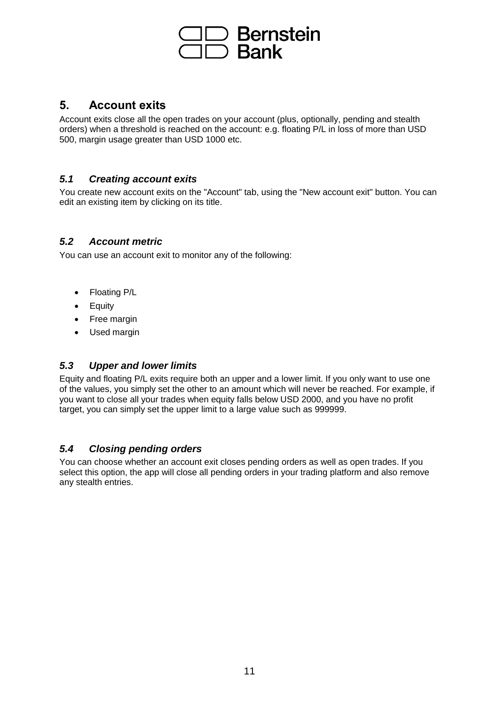

# **5. Account exits**

Account exits close all the open trades on your account (plus, optionally, pending and stealth orders) when a threshold is reached on the account: e.g. floating P/L in loss of more than USD 500, margin usage greater than USD 1000 etc.

### *5.1 Creating account exits*

You create new account exits on the "Account" tab, using the "New account exit" button. You can edit an existing item by clicking on its title.

#### *5.2 Account metric*

You can use an account exit to monitor any of the following:

- Floating P/L
- Equity
- Free margin
- Used margin

## *5.3 Upper and lower limits*

Equity and floating P/L exits require both an upper and a lower limit. If you only want to use one of the values, you simply set the other to an amount which will never be reached. For example, if you want to close all your trades when equity falls below USD 2000, and you have no profit target, you can simply set the upper limit to a large value such as 999999.

#### *5.4 Closing pending orders*

You can choose whether an account exit closes pending orders as well as open trades. If you select this option, the app will close all pending orders in your trading platform and also remove any stealth entries.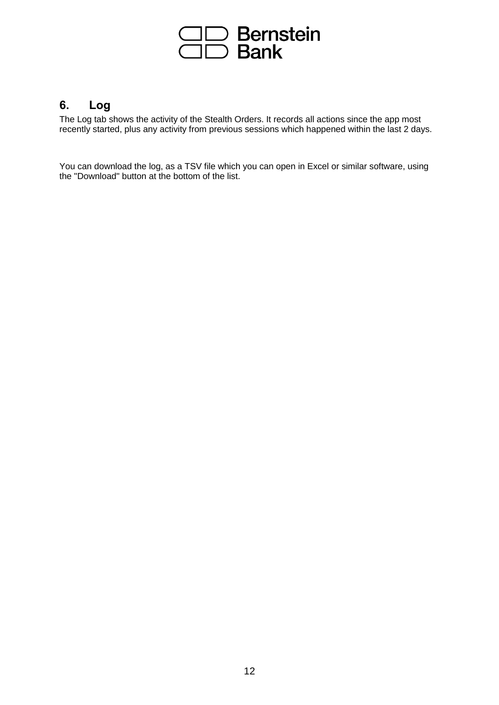

# **6. Log**

The Log tab shows the activity of the Stealth Orders. It records all actions since the app most recently started, plus any activity from previous sessions which happened within the last 2 days.

You can download the log, as a TSV file which you can open in Excel or similar software, using the "Download" button at the bottom of the list.